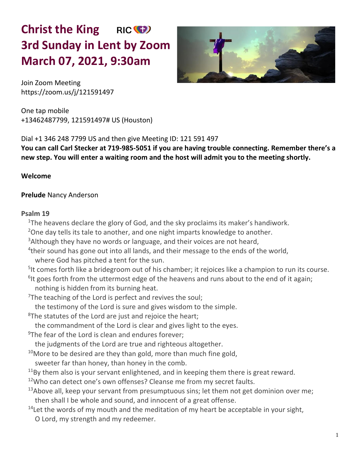# **Christ the King** RIC<sup>(+</sup> **3rd Sunday in Lent by Zoom March 07, 2021, 9:30am**



Join Zoom Meeting <https://zoom.us/j/121591497>

One tap mobile +13462487799, 121591497# US (Houston)

Dial +1 346 248 7799 US and then give Meeting ID: 121 591 497

**You can call Carl Stecker at 719-985-5051 if you are having trouble connecting. Remember there's a new step. You will enter a waiting room and the host will admit you to the meeting shortly.** 

## **Welcome**

## **Prelude** Nancy Anderson

## **Psalm 19**

<sup>1</sup>The heavens declare the glory of God, and the sky proclaims its maker's handiwork.

<sup>2</sup>One day tells its tale to another, and one night imparts knowledge to another.

<sup>3</sup> Although they have no words or language, and their voices are not heard,

<sup>4</sup>their sound has gone out into all lands, and their message to the ends of the world, where God has pitched a tent for the sun.

<sup>5</sup>It comes forth like a bridegroom out of his chamber; it rejoices like a champion to run its course.

<sup>6</sup>It goes forth from the uttermost edge of the heavens and runs about to the end of it again; nothing is hidden from its burning heat.

 $7$ The teaching of the Lord is perfect and revives the soul;

the testimony of the Lord is sure and gives wisdom to the simple.

<sup>8</sup>The statutes of the Lord are just and rejoice the heart;

the commandment of the Lord is clear and gives light to the eyes.

 $9$ The fear of the Lord is clean and endures forever;

the judgments of the Lord are true and righteous altogether.

 $10$ More to be desired are they than gold, more than much fine gold,

sweeter far than honey, than honey in the comb.

 $11$ By them also is your servant enlightened, and in keeping them there is great reward.

<sup>12</sup>Who can detect one's own offenses? Cleanse me from my secret faults.

- $13A$ bove all, keep your servant from presumptuous sins; let them not get dominion over me; then shall I be whole and sound, and innocent of a great offense.
- $14$  Let the words of my mouth and the meditation of my heart be acceptable in your sight, O Lord, my strength and my redeemer.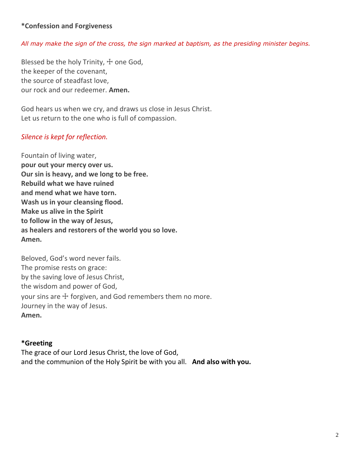## **\*Confession and Forgiveness**

#### *All may make the sign of the cross, the sign marked at baptism, as the presiding minister begins.*

Blessed be the holy Trinity,  $\pm$  one God, the keeper of the covenant, the source of steadfast love, our rock and our redeemer. **Amen.**

God hears us when we cry, and draws us close in Jesus Christ. Let us return to the one who is full of compassion.

#### *Silence is kept for reflection.*

Fountain of living water, **pour out your mercy over us. Our sin is heavy, and we long to be free. Rebuild what we have ruined and mend what we have torn. Wash us in your cleansing flood. Make us alive in the Spirit to follow in the way of Jesus, as healers and restorers of the world you so love. Amen.**

Beloved, God's word never fails. The promise rests on grace: by the saving love of Jesus Christ, the wisdom and power of God, your sins are  $\pm$  forgiven, and God remembers them no more. Journey in the way of Jesus. **Amen.**

#### **\*Greeting**

The grace of our Lord Jesus Christ, the love of God, and the communion of the Holy Spirit be with you all. **And also with you.**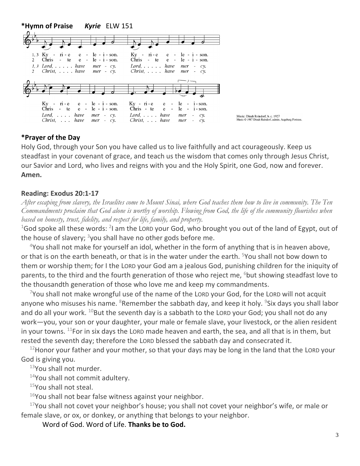

#### **\*Prayer of the Day**

Holy God, through your Son you have called us to live faithfully and act courageously. Keep us steadfast in your covenant of grace, and teach us the wisdom that comes only through Jesus Christ, our Savior and Lord, who lives and reigns with you and the Holy Spirit, one God, now and forever. **Amen.**

#### **Reading: Exodus 20:1-17**

*After escaping from slavery, the Israelites come to Mount Sinai, where God teaches them how to live in community. The Ten Commandments proclaim that God alone is worthy of worship. Flowing from God, the life of the community flourishes when based on honesty, trust, fidelity, and respect for life, family, and property.*

<sup>1</sup>God spoke all these words: <sup>2</sup>I am the LORD your God, who brought you out of the land of Egypt, out of the house of slavery;  $3$ you shall have no other gods before me.

 $4$ You shall not make for yourself an idol, whether in the form of anything that is in heaven above, or that is on the earth beneath, or that is in the water under the earth. <sup>5</sup>You shall not bow down to them or worship them; for I the LORD your God am a jealous God, punishing children for the iniquity of parents, to the third and the fourth generation of those who reject me, <sup>6</sup>but showing steadfast love to the thousandth generation of those who love me and keep my commandments.

 $7$ You shall not make wrongful use of the name of the LORD your God, for the LORD will not acquit anyone who misuses his name. <sup>8</sup>Remember the sabbath day, and keep it holy. <sup>9</sup>Six days you shall labor and do all your work.  $^{10}$ But the seventh day is a sabbath to the LORD your God; you shall not do any work—you, your son or your daughter, your male or female slave, your livestock, or the alien resident in your towns.  $^{11}$ For in six days the LORD made heaven and earth, the sea, and all that is in them, but rested the seventh day; therefore the LORD blessed the sabbath day and consecrated it.

 $12$ Honor your father and your mother, so that your days may be long in the land that the LORD your God is giving you.

<sup>13</sup>You shall not murder.

 $14$ You shall not commit adultery.

<sup>15</sup>You shall not steal.

 $16$ You shall not bear false witness against your neighbor.

 $17$ You shall not covet your neighbor's house; you shall not covet your neighbor's wife, or male or female slave, or ox, or donkey, or anything that belongs to your neighbor.

Word of God. Word of Life. **Thanks be to God.**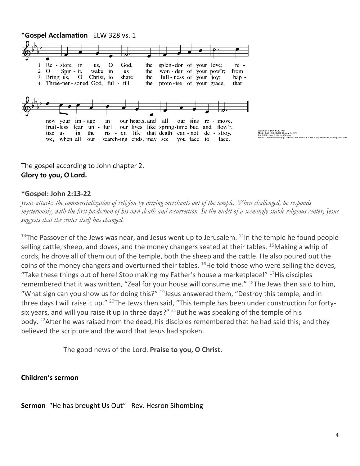

# The gospel according to John chapter 2. **Glory to you, O Lord.**

#### **\*Gospel: John 2:13-22**

*Jesus attacks the commercialization of religion by driving merchants out of the temple. When challenged, he responds mysteriously, with the first prediction of his own death and resurrection. In the midst of a seemingly stable religious center, Jesus suggests that the center itself has changed.*

 $13$ The Passover of the Jews was near, and Jesus went up to Jerusalem.  $14$ In the temple he found people selling cattle, sheep, and doves, and the money changers seated at their tables.  $15$ Making a whip of cords, he drove all of them out of the temple, both the sheep and the cattle. He also poured out the coins of the money changers and overturned their tables.  $^{16}$ He told those who were selling the doves. "Take these things out of here! Stop making my Father's house a marketplace!"  $17$ His disciples remembered that it was written, "Zeal for your house will consume me."  $^{18}$ The Jews then said to him, "What sign can you show us for doing this?"  $19$  Jesus answered them, "Destroy this temple, and in three days I will raise it up." <sup>20</sup>The Jews then said, "This temple has been under construction for fortysix years, and will you raise it up in three days?"  $^{21}$ But he was speaking of the temple of his body. <sup>22</sup>After he was raised from the dead, his disciples remembered that he had said this; and they believed the scripture and the word that Jesus had spoken.

The good news of the Lord. **Praise to you, O Christ.**

## **Children's sermon**

**Sermon** "He has brought Us Out" Rev. Hesron Sihombing

g Company.<br>Ing Company, Carol Stream, IL 60188. All rights reserved. Used by permi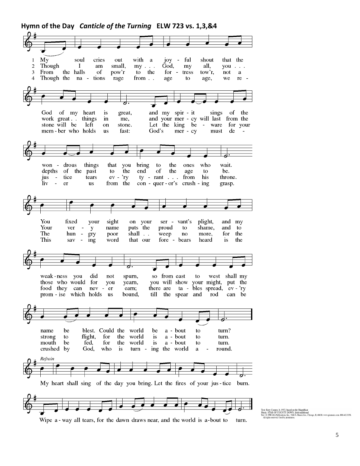**Hymn of the Day** *Canticle of the Turning* **ELW 723 vs. 1,3,&4**My soul cries out with a joy - ful shout that the  $\blacksquare$  $\overline{2}$ Though  $\bf{I}$  $\;{\rm am}$ small,  $my \ldots$ God, my all, you  $\ldots$ the halls From <sub>of</sub> pow'r to the 3 for - tress  $tow'r,$ not a  $\overline{4}$ Though the na tions rage from . . age to age, we re of the God of my heart great, and my spir - it sings is work great. things and your mer - cy will last from the in me, stone will be left on stone. Let the  $king$  be ware for your  $mer - cy$ mem-ber who holds fast: God's **us** must de bring drous things that the ones who wait. won you to the depths of the past  ${\rm to}$ end of the age to be.  $jus$ tice tears  $ev - 'ry$ ty -  $rant$  . . . from his throne. liv  $\Box$ er us from the  $con$  - quer - or's  $crush - ing$ grasp. You fixed your sight on your ser vant's plight, and my puts the Your shame, and to ver  $\overline{\phantom{a}}$ y name proud to The hun shall  $\ldots$ weep more, for the gry poor  $no$ This  $sav$ fore - bears the ing word that our heard is weak-ness you did not spurn, so from east to west shall my those who would for you yearn, you will show your might, put the food they can there are ta - bles spread, ev - 'ry nev - er earn; can be prom - ise which holds us bound, till the spear and rod ⊿ name be blest. Could the world be a - bout to turn? strong flight, for the world is a - bout turn. to to mouth be fed, for the world is a - bout to turn. crushed by God, who turn - ing the world is  $\bf{a}$ round.  $\overline{a}$ Refrain My heart shall sing of the day you bring. Let the fires of your jus-tice burn.

Text: Rory Cooney, b. 1952, based on the Magnificat<br>Music: STAR OF COUNTY DOWN, Irish traditional<br>Text 0 1990 GIA Publications, Inc., 7404 S. Mason Ave., Chicago, II. 60638, www.giamusic.com. 800.442.335<br>- All rights reser

Wipe a - way all tears, for the dawn draws near, and the world is a-bout to turn.

5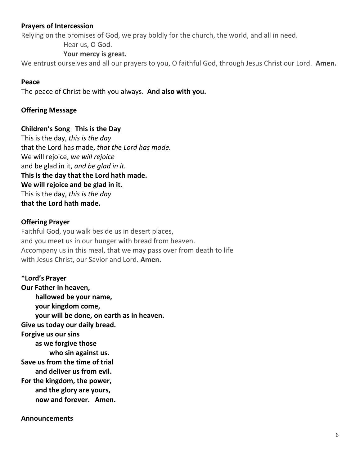## **Prayers of Intercession**

Relying on the promises of God, we pray boldly for the church, the world, and all in need.

Hear us, O God.

#### **Your mercy is great.**

We entrust ourselves and all our prayers to you, O faithful God, through Jesus Christ our Lord. **Amen.**

#### **Peace**

The peace of Christ be with you always. **And also with you.**

#### **Offering Message**

#### **Children's Song This is the Day**

This is the day, *this is the day* that the Lord has made, *that the Lord has made.*  We will rejoice, *we will rejoice* and be glad in it, *and be glad in it.*  **This is the day that the Lord hath made. We will rejoice and be glad in it.**  This is the day, *this is the day* **that the Lord hath made.**

#### **Offering Prayer**

Faithful God, you walk beside us in desert places, and you meet us in our hunger with bread from heaven. Accompany us in this meal, that we may pass over from death to life with Jesus Christ, our Savior and Lord. **Amen.**

**\*Lord's Prayer Our Father in heaven, hallowed be your name, your kingdom come, your will be done, on earth as in heaven. Give us today our daily bread. Forgive us our sins as we forgive those who sin against us. Save us from the time of trial and deliver us from evil. For the kingdom, the power, and the glory are yours, now and forever. Amen.**

#### **Announcements**